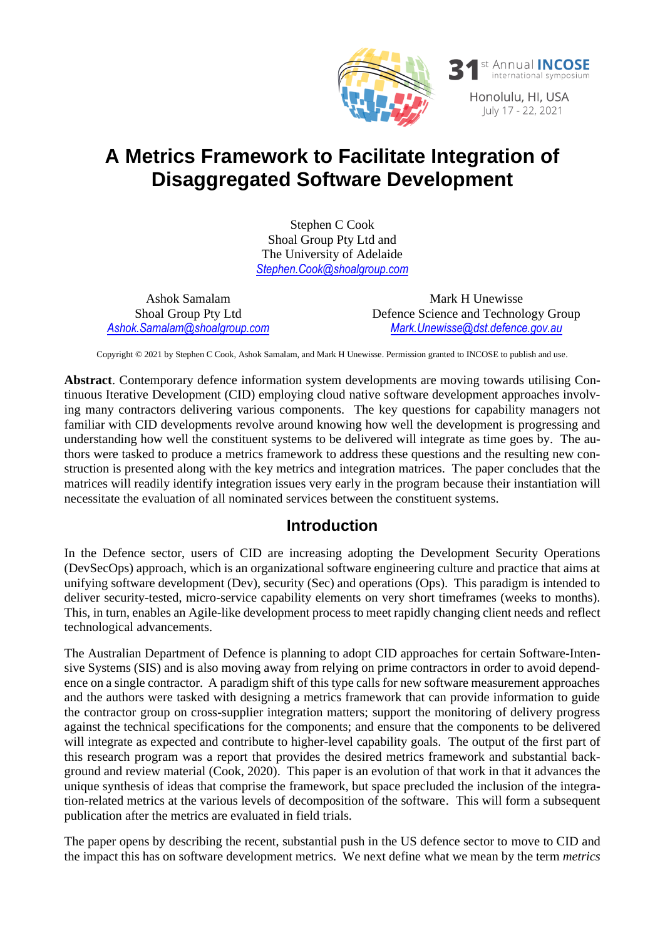

# **A Metrics Framework to Facilitate Integration of Disaggregated Software Development**

Stephen C Cook Shoal Group Pty Ltd and The University of Adelaide *Stephen.Cook@shoalgroup.com*

Ashok Samalam Shoal Group Pty Ltd *[Ashok.Samalam@shoalgroup.com](mailto:Ashok.Samalam@shoalgroup.com)*

Mark H Unewisse Defence Science and Technology Group *Mark.Unewisse@dst.defence.gov.au*

Copyright © 2021 by Stephen C Cook, Ashok Samalam, and Mark H Unewisse. Permission granted to INCOSE to publish and use.

**Abstract**. Contemporary defence information system developments are moving towards utilising Continuous Iterative Development (CID) employing cloud native software development approaches involving many contractors delivering various components. The key questions for capability managers not familiar with CID developments revolve around knowing how well the development is progressing and understanding how well the constituent systems to be delivered will integrate as time goes by. The authors were tasked to produce a metrics framework to address these questions and the resulting new construction is presented along with the key metrics and integration matrices. The paper concludes that the matrices will readily identify integration issues very early in the program because their instantiation will necessitate the evaluation of all nominated services between the constituent systems.

#### **Introduction**

In the Defence sector, users of CID are increasing adopting the Development Security Operations (DevSecOps) approach, which is an organizational software engineering culture and practice that aims at unifying software development (Dev), security (Sec) and operations (Ops). This paradigm is intended to deliver security-tested, micro-service capability elements on very short timeframes (weeks to months). This, in turn, enables an Agile-like development process to meet rapidly changing client needs and reflect technological advancements.

The Australian Department of Defence is planning to adopt CID approaches for certain Software-Intensive Systems (SIS) and is also moving away from relying on prime contractors in order to avoid dependence on a single contractor. A paradigm shift of this type calls for new software measurement approaches and the authors were tasked with designing a metrics framework that can provide information to guide the contractor group on cross-supplier integration matters; support the monitoring of delivery progress against the technical specifications for the components; and ensure that the components to be delivered will integrate as expected and contribute to higher-level capability goals. The output of the first part of this research program was a report that provides the desired metrics framework and substantial background and review material (Cook, 2020). This paper is an evolution of that work in that it advances the unique synthesis of ideas that comprise the framework, but space precluded the inclusion of the integration-related metrics at the various levels of decomposition of the software. This will form a subsequent publication after the metrics are evaluated in field trials.

The paper opens by describing the recent, substantial push in the US defence sector to move to CID and the impact this has on software development metrics. We next define what we mean by the term *metrics*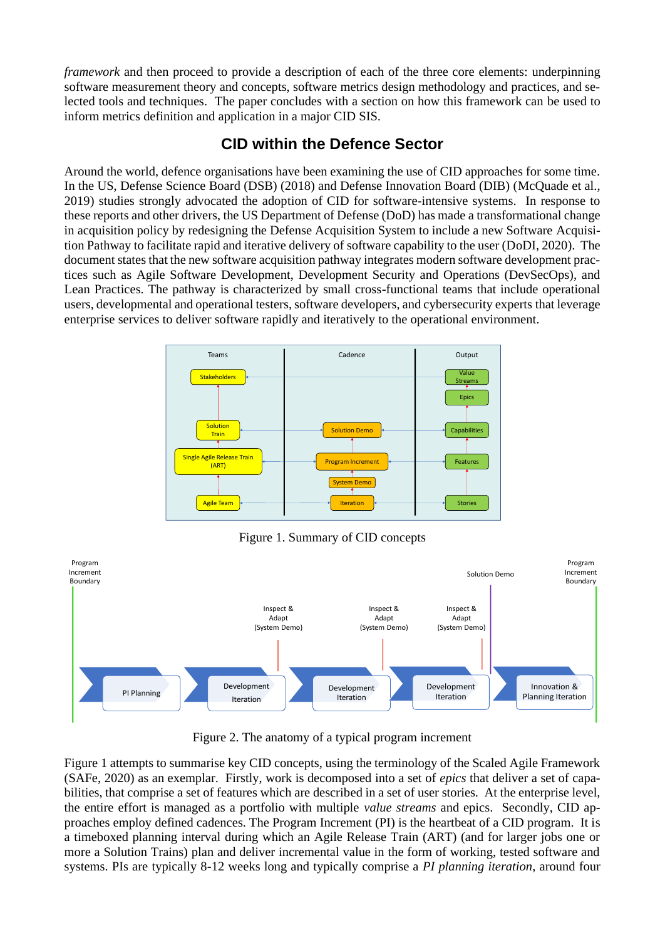*framework* and then proceed to provide a description of each of the three core elements: underpinning software measurement theory and concepts, software metrics design methodology and practices, and selected tools and techniques. The paper concludes with a section on how this framework can be used to inform metrics definition and application in a major CID SIS.

#### **CID within the Defence Sector**

Around the world, defence organisations have been examining the use of CID approaches for some time. In the US, Defense Science Board (DSB) (2018) and Defense Innovation Board (DIB) (McQuade et al., 2019) studies strongly advocated the adoption of CID for software-intensive systems. In response to these reports and other drivers, the US Department of Defense (DoD) has made a transformational change in acquisition policy by redesigning the Defense Acquisition System to include a new Software Acquisition Pathway to facilitate rapid and iterative delivery of software capability to the user (DoDI, 2020). The document states that the new software acquisition pathway integrates modern software development practices such as Agile Software Development, Development Security and Operations (DevSecOps), and Lean Practices. The pathway is characterized by small cross-functional teams that include operational users, developmental and operational testers, software developers, and cybersecurity experts that leverage enterprise services to deliver software rapidly and iteratively to the operational environment.



Figure 1. Summary of CID concepts

<span id="page-1-0"></span>

Figure 2. The anatomy of a typical program increment

<span id="page-1-1"></span>[Figure 1](#page-1-0) attempts to summarise key CID concepts, using the terminology of the Scaled Agile Framework (SAFe, 2020) as an exemplar. Firstly, work is decomposed into a set of *epics* that deliver a set of capabilities, that comprise a set of features which are described in a set of user stories. At the enterprise level, the entire effort is managed as a portfolio with multiple *value streams* and epics. Secondly, CID approaches employ defined cadences. The Program Increment (PI) is the heartbeat of a CID program. It is a timeboxed planning interval during which an Agile Release Train (ART) (and for larger jobs one or more a Solution Trains) plan and deliver incremental value in the form of working, tested software and systems. PIs are typically 8-12 weeks long and typically comprise a *PI planning iteration*, around four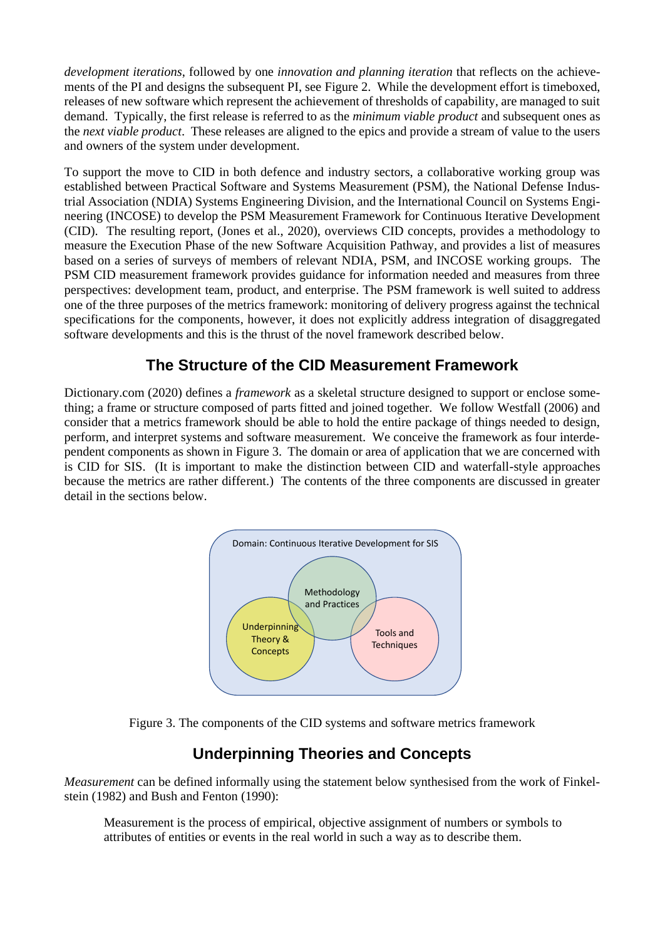*development iterations*, followed by one *innovation and planning iteration* that reflects on the achievements of the PI and designs the subsequent PI, see [Figure 2.](#page-1-1) While the development effort is timeboxed, releases of new software which represent the achievement of thresholds of capability, are managed to suit demand. Typically, the first release is referred to as the *minimum viable product* and subsequent ones as the *next viable product*. These releases are aligned to the epics and provide a stream of value to the users and owners of the system under development.

To support the move to CID in both defence and industry sectors, a collaborative working group was established between Practical Software and Systems Measurement (PSM), the National Defense Industrial Association (NDIA) Systems Engineering Division, and the International Council on Systems Engineering (INCOSE) to develop the PSM Measurement Framework for Continuous Iterative Development (CID). The resulting report, (Jones et al., 2020), overviews CID concepts, provides a methodology to measure the Execution Phase of the new Software Acquisition Pathway, and provides a list of measures based on a series of surveys of members of relevant NDIA, PSM, and INCOSE working groups. The PSM CID measurement framework provides guidance for information needed and measures from three perspectives: development team, product, and enterprise. The PSM framework is well suited to address one of the three purposes of the metrics framework: monitoring of delivery progress against the technical specifications for the components, however, it does not explicitly address integration of disaggregated software developments and this is the thrust of the novel framework described below.

#### **The Structure of the CID Measurement Framework**

Dictionary.com (2020) defines a *framework* as a skeletal structure designed to support or enclose something; a frame or structure composed of parts fitted and joined together. We follow Westfall (2006) and consider that a metrics framework should be able to hold the entire package of things needed to design, perform, and interpret systems and software measurement. We conceive the framework as four interdependent components as shown in [Figure 3.](#page-2-0) The domain or area of application that we are concerned with is CID for SIS. (It is important to make the distinction between CID and waterfall-style approaches because the metrics are rather different.) The contents of the three components are discussed in greater detail in the sections below.



Figure 3. The components of the CID systems and software metrics framework

### **Underpinning Theories and Concepts**

<span id="page-2-0"></span>*Measurement* can be defined informally using the statement below synthesised from the work of Finkelstein (1982) and Bush and Fenton (1990):

Measurement is the process of empirical, objective assignment of numbers or symbols to attributes of entities or events in the real world in such a way as to describe them.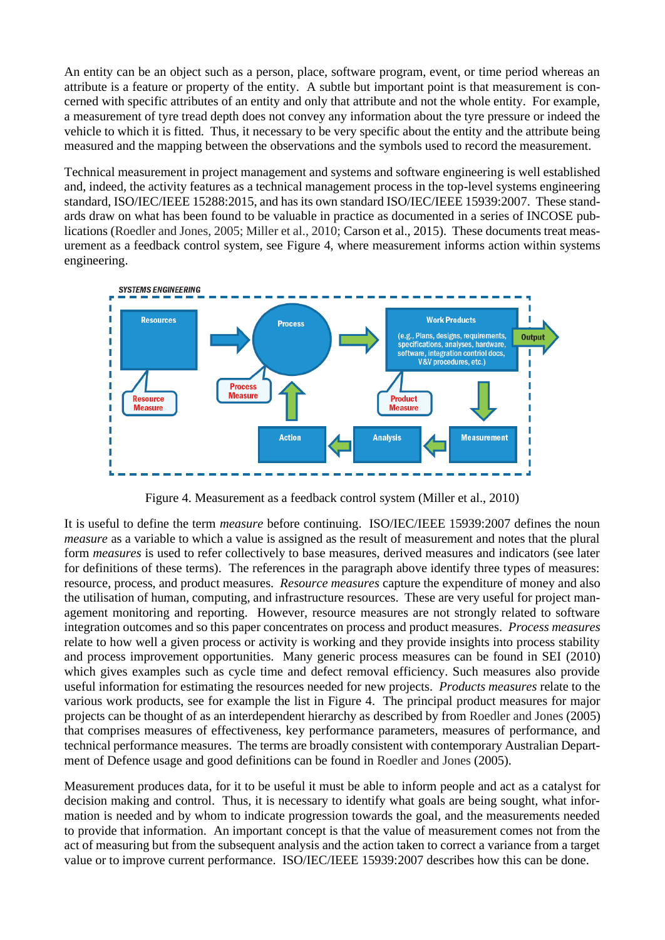An entity can be an object such as a person, place, software program, event, or time period whereas an attribute is a feature or property of the entity. A subtle but important point is that measurement is concerned with specific attributes of an entity and only that attribute and not the whole entity. For example, a measurement of tyre tread depth does not convey any information about the tyre pressure or indeed the vehicle to which it is fitted. Thus, it necessary to be very specific about the entity and the attribute being measured and the mapping between the observations and the symbols used to record the measurement.

Technical measurement in project management and systems and software engineering is well established and, indeed, the activity features as a technical management process in the top-level systems engineering standard, ISO/IEC/IEEE 15288:2015, and has its own standard ISO/IEC/IEEE 15939:2007. These standards draw on what has been found to be valuable in practice as documented in a series of INCOSE publications (Roedler and Jones, 2005; Miller et al., 2010; Carson et al., 2015). These documents treat measurement as a feedback control system, see [Figure 4,](#page-3-0) where measurement informs action within systems engineering.



Figure 4. Measurement as a feedback control system (Miller et al., 2010)

<span id="page-3-0"></span>It is useful to define the term *measure* before continuing. ISO/IEC/IEEE 15939:2007 defines the noun *measure* as a variable to which a value is assigned as the result of measurement and notes that the plural form *measures* is used to refer collectively to base measures, derived measures and indicators (see later for definitions of these terms). The references in the paragraph above identify three types of measures: resource, process, and product measures. *Resource measures* capture the expenditure of money and also the utilisation of human, computing, and infrastructure resources. These are very useful for project management monitoring and reporting. However, resource measures are not strongly related to software integration outcomes and so this paper concentrates on process and product measures. *Process measures* relate to how well a given process or activity is working and they provide insights into process stability and process improvement opportunities. Many generic process measures can be found in SEI (2010) which gives examples such as cycle time and defect removal efficiency. Such measures also provide useful information for estimating the resources needed for new projects. *Products measures* relate to the various work products, see for example the list in [Figure 4.](#page-3-0) The principal product measures for major projects can be thought of as an interdependent hierarchy as described by from Roedler and Jones (2005) that comprises measures of effectiveness, key performance parameters, measures of performance, and technical performance measures. The terms are broadly consistent with contemporary Australian Department of Defence usage and good definitions can be found in Roedler and Jones (2005).

Measurement produces data, for it to be useful it must be able to inform people and act as a catalyst for decision making and control. Thus, it is necessary to identify what goals are being sought, what information is needed and by whom to indicate progression towards the goal, and the measurements needed to provide that information. An important concept is that the value of measurement comes not from the act of measuring but from the subsequent analysis and the action taken to correct a variance from a target value or to improve current performance. ISO/IEC/IEEE 15939:2007 describes how this can be done.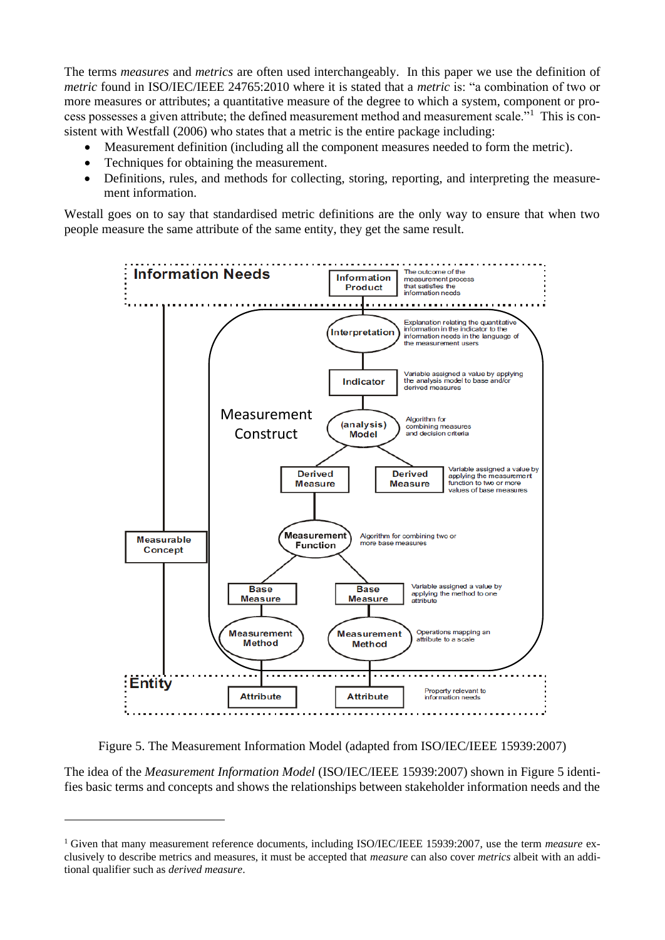The terms *measures* and *metrics* are often used interchangeably. In this paper we use the definition of *metric* found in ISO/IEC/IEEE 24765:2010 where it is stated that a *metric* is: "a combination of two or more measures or attributes; a quantitative measure of the degree to which a system, component or process possesses a given attribute; the defined measurement method and measurement scale."<sup>1</sup> This is consistent with Westfall (2006) who states that a metric is the entire package including:

- Measurement definition (including all the component measures needed to form the metric).
- Techniques for obtaining the measurement.
- Definitions, rules, and methods for collecting, storing, reporting, and interpreting the measurement information.

Westall goes on to say that standardised metric definitions are the only way to ensure that when two people measure the same attribute of the same entity, they get the same result.



Figure 5. The Measurement Information Model (adapted from ISO/IEC/IEEE 15939:2007)

<span id="page-4-0"></span>The idea of the *Measurement Information Model* (ISO/IEC/IEEE 15939:2007) shown in [Figure 5](#page-4-0) identifies basic terms and concepts and shows the relationships between stakeholder information needs and the

<sup>1</sup> Given that many measurement reference documents, including ISO/IEC/IEEE 15939:2007, use the term *measure* exclusively to describe metrics and measures, it must be accepted that *measure* can also cover *metrics* albeit with an additional qualifier such as *derived measure*.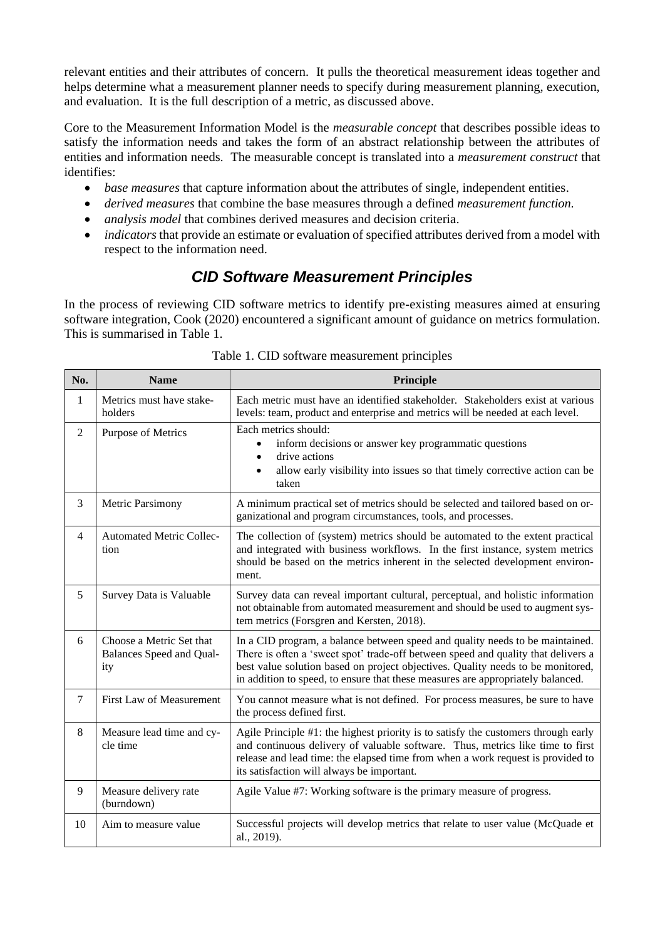relevant entities and their attributes of concern. It pulls the theoretical measurement ideas together and helps determine what a measurement planner needs to specify during measurement planning, execution, and evaluation. It is the full description of a metric, as discussed above.

Core to the Measurement Information Model is the *measurable concept* that describes possible ideas to satisfy the information needs and takes the form of an abstract relationship between the attributes of entities and information needs. The measurable concept is translated into a *measurement construct* that identifies:

- *base measures* that capture information about the attributes of single, independent entities.
- *derived measures* that combine the base measures through a defined *measurement function.*
- *analysis model* that combines derived measures and decision criteria.
- *indicators* that provide an estimate or evaluation of specified attributes derived from a model with respect to the information need.

### *CID Software Measurement Principles*

In the process of reviewing CID software metrics to identify pre-existing measures aimed at ensuring software integration, Cook (2020) encountered a significant amount of guidance on metrics formulation. This is summarised in [Table 1.](#page-5-0)

<span id="page-5-0"></span>

| No.            | <b>Name</b>                                                 | Principle                                                                                                                                                                                                                                                                                                                                |
|----------------|-------------------------------------------------------------|------------------------------------------------------------------------------------------------------------------------------------------------------------------------------------------------------------------------------------------------------------------------------------------------------------------------------------------|
| 1              | Metrics must have stake-<br>holders                         | Each metric must have an identified stakeholder. Stakeholders exist at various<br>levels: team, product and enterprise and metrics will be needed at each level.                                                                                                                                                                         |
| $\overline{2}$ | Purpose of Metrics                                          | Each metrics should:<br>inform decisions or answer key programmatic questions<br>$\bullet$<br>drive actions<br>$\bullet$<br>allow early visibility into issues so that timely corrective action can be<br>$\bullet$<br>taken                                                                                                             |
| 3              | <b>Metric Parsimony</b>                                     | A minimum practical set of metrics should be selected and tailored based on or-<br>ganizational and program circumstances, tools, and processes.                                                                                                                                                                                         |
| $\overline{4}$ | <b>Automated Metric Collec-</b><br>tion                     | The collection of (system) metrics should be automated to the extent practical<br>and integrated with business workflows. In the first instance, system metrics<br>should be based on the metrics inherent in the selected development environ-<br>ment.                                                                                 |
| 5              | Survey Data is Valuable                                     | Survey data can reveal important cultural, perceptual, and holistic information<br>not obtainable from automated measurement and should be used to augment sys-<br>tem metrics (Forsgren and Kersten, 2018).                                                                                                                             |
| 6              | Choose a Metric Set that<br>Balances Speed and Qual-<br>ity | In a CID program, a balance between speed and quality needs to be maintained.<br>There is often a 'sweet spot' trade-off between speed and quality that delivers a<br>best value solution based on project objectives. Quality needs to be monitored,<br>in addition to speed, to ensure that these measures are appropriately balanced. |
| $\overline{7}$ | First Law of Measurement                                    | You cannot measure what is not defined. For process measures, be sure to have<br>the process defined first.                                                                                                                                                                                                                              |
| 8              | Measure lead time and cy-<br>cle time                       | Agile Principle #1: the highest priority is to satisfy the customers through early<br>and continuous delivery of valuable software. Thus, metrics like time to first<br>release and lead time: the elapsed time from when a work request is provided to<br>its satisfaction will always be important.                                    |
| 9              | Measure delivery rate<br>(burndown)                         | Agile Value #7: Working software is the primary measure of progress.                                                                                                                                                                                                                                                                     |
| 10             | Aim to measure value                                        | Successful projects will develop metrics that relate to user value (McQuade et<br>al., 2019).                                                                                                                                                                                                                                            |

Table 1. CID software measurement principles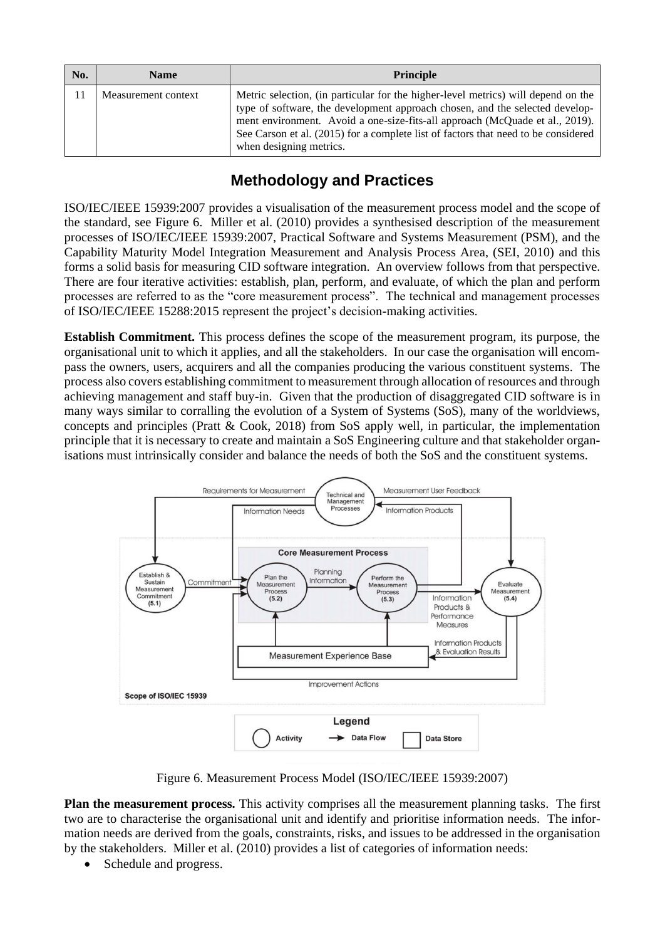| No. | <b>Name</b>         | <b>Principle</b>                                                                                                                                                                                                                                                                                                                                                   |
|-----|---------------------|--------------------------------------------------------------------------------------------------------------------------------------------------------------------------------------------------------------------------------------------------------------------------------------------------------------------------------------------------------------------|
|     | Measurement context | Metric selection, (in particular for the higher-level metrics) will depend on the<br>type of software, the development approach chosen, and the selected develop-<br>ment environment. Avoid a one-size-fits-all approach (McQuade et al., 2019).<br>See Carson et al. (2015) for a complete list of factors that need to be considered<br>when designing metrics. |

# **Methodology and Practices**

ISO/IEC/IEEE 15939:2007 provides a visualisation of the measurement process model and the scope of the standard, see [Figure 6.](#page-6-0) Miller et al. (2010) provides a synthesised description of the measurement processes of ISO/IEC/IEEE 15939:2007, Practical Software and Systems Measurement (PSM), and the Capability Maturity Model Integration Measurement and Analysis Process Area, (SEI, 2010) and this forms a solid basis for measuring CID software integration. An overview follows from that perspective. There are four iterative activities: establish, plan, perform, and evaluate, of which the plan and perform processes are referred to as the "core measurement process". The technical and management processes of ISO/IEC/IEEE 15288:2015 represent the project's decision-making activities.

**Establish Commitment.** This process defines the scope of the measurement program, its purpose, the organisational unit to which it applies, and all the stakeholders. In our case the organisation will encompass the owners, users, acquirers and all the companies producing the various constituent systems. The process also covers establishing commitment to measurement through allocation of resources and through achieving management and staff buy-in. Given that the production of disaggregated CID software is in many ways similar to corralling the evolution of a System of Systems (SoS), many of the worldviews, concepts and principles (Pratt & Cook, 2018) from SoS apply well, in particular, the implementation principle that it is necessary to create and maintain a SoS Engineering culture and that stakeholder organisations must intrinsically consider and balance the needs of both the SoS and the constituent systems.



Figure 6. Measurement Process Model (ISO/IEC/IEEE 15939:2007)

<span id="page-6-0"></span>**Plan the measurement process.** This activity comprises all the measurement planning tasks. The first two are to characterise the organisational unit and identify and prioritise information needs. The information needs are derived from the goals, constraints, risks, and issues to be addressed in the organisation by the stakeholders. Miller et al. (2010) provides a list of categories of information needs:

Schedule and progress.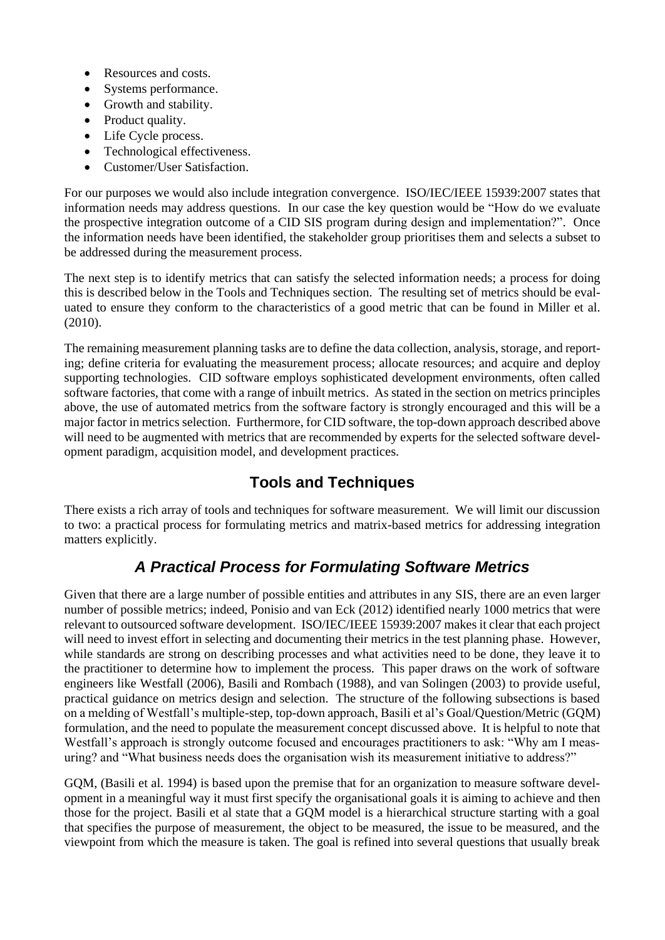- Resources and costs.
- Systems performance.
- Growth and stability.
- Product quality.
- Life Cycle process.
- Technological effectiveness.
- Customer/User Satisfaction.

For our purposes we would also include integration convergence. ISO/IEC/IEEE 15939:2007 states that information needs may address questions. In our case the key question would be "How do we evaluate the prospective integration outcome of a CID SIS program during design and implementation?". Once the information needs have been identified, the stakeholder group prioritises them and selects a subset to be addressed during the measurement process.

The next step is to identify metrics that can satisfy the selected information needs; a process for doing this is described below in the Tools and Techniques section. The resulting set of metrics should be evaluated to ensure they conform to the characteristics of a good metric that can be found in Miller et al. (2010).

The remaining measurement planning tasks are to define the data collection, analysis, storage, and reporting; define criteria for evaluating the measurement process; allocate resources; and acquire and deploy supporting technologies. CID software employs sophisticated development environments, often called software factories, that come with a range of inbuilt metrics. As stated in the section on metrics principles above, the use of automated metrics from the software factory is strongly encouraged and this will be a major factor in metrics selection. Furthermore, for CID software, the top-down approach described above will need to be augmented with metrics that are recommended by experts for the selected software development paradigm, acquisition model, and development practices.

### **Tools and Techniques**

There exists a rich array of tools and techniques for software measurement. We will limit our discussion to two: a practical process for formulating metrics and matrix-based metrics for addressing integration matters explicitly.

### *A Practical Process for Formulating Software Metrics*

Given that there are a large number of possible entities and attributes in any SIS, there are an even larger number of possible metrics; indeed, Ponisio and van Eck (2012) identified nearly 1000 metrics that were relevant to outsourced software development. ISO/IEC/IEEE 15939:2007 makesit clear that each project will need to invest effort in selecting and documenting their metrics in the test planning phase. However, while standards are strong on describing processes and what activities need to be done, they leave it to the practitioner to determine how to implement the process. This paper draws on the work of software engineers like Westfall (2006), Basili and Rombach (1988), and van Solingen (2003) to provide useful, practical guidance on metrics design and selection. The structure of the following subsections is based on a melding of Westfall's multiple-step, top-down approach, Basili et al's Goal/Question/Metric (GQM) formulation, and the need to populate the measurement concept discussed above. It is helpful to note that Westfall's approach is strongly outcome focused and encourages practitioners to ask: "Why am I measuring? and "What business needs does the organisation wish its measurement initiative to address?"

GQM, (Basili et al. 1994) is based upon the premise that for an organization to measure software development in a meaningful way it must first specify the organisational goals it is aiming to achieve and then those for the project. Basili et al state that a GQM model is a hierarchical structure starting with a goal that specifies the purpose of measurement, the object to be measured, the issue to be measured, and the viewpoint from which the measure is taken. The goal is refined into several questions that usually break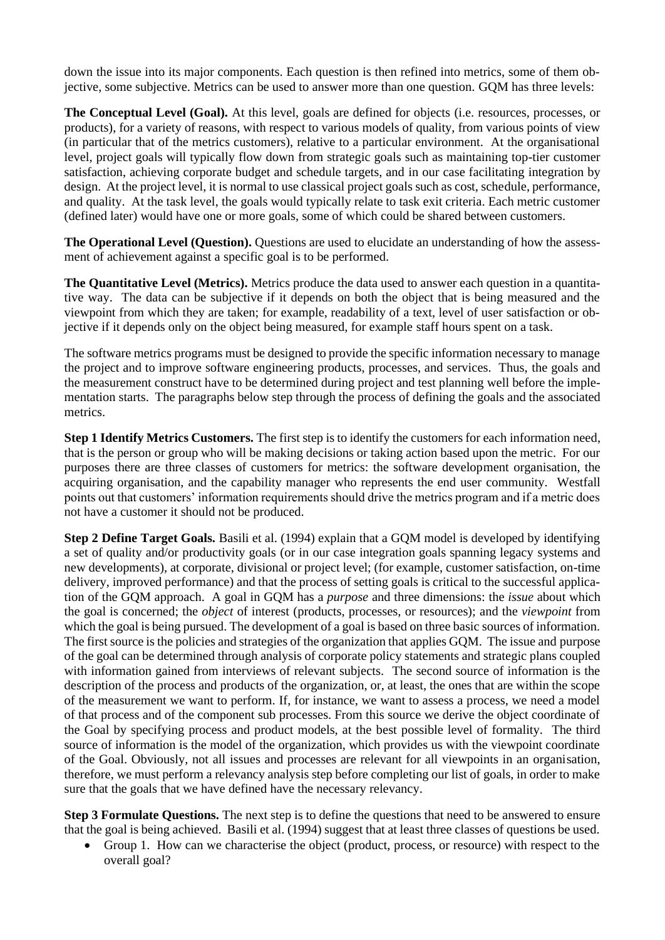down the issue into its major components. Each question is then refined into metrics, some of them objective, some subjective. Metrics can be used to answer more than one question. GQM has three levels:

**The Conceptual Level (Goal).** At this level, goals are defined for objects (i.e. resources, processes, or products), for a variety of reasons, with respect to various models of quality, from various points of view (in particular that of the metrics customers), relative to a particular environment. At the organisational level, project goals will typically flow down from strategic goals such as maintaining top-tier customer satisfaction, achieving corporate budget and schedule targets, and in our case facilitating integration by design. At the project level, it is normal to use classical project goals such as cost, schedule, performance, and quality. At the task level, the goals would typically relate to task exit criteria. Each metric customer (defined later) would have one or more goals, some of which could be shared between customers.

**The Operational Level (Question).** Questions are used to elucidate an understanding of how the assessment of achievement against a specific goal is to be performed.

**The Quantitative Level (Metrics).** Metrics produce the data used to answer each question in a quantitative way. The data can be subjective if it depends on both the object that is being measured and the viewpoint from which they are taken; for example, readability of a text, level of user satisfaction or objective if it depends only on the object being measured, for example staff hours spent on a task.

The software metrics programs must be designed to provide the specific information necessary to manage the project and to improve software engineering products, processes, and services. Thus, the goals and the measurement construct have to be determined during project and test planning well before the implementation starts. The paragraphs below step through the process of defining the goals and the associated metrics.

**Step 1 Identify Metrics Customers.** The first step is to identify the customers for each information need, that is the person or group who will be making decisions or taking action based upon the metric. For our purposes there are three classes of customers for metrics: the software development organisation, the acquiring organisation, and the capability manager who represents the end user community. Westfall points out that customers' information requirements should drive the metrics program and if a metric does not have a customer it should not be produced.

**Step 2 Define Target Goals.** Basili et al. (1994) explain that a GQM model is developed by identifying a set of quality and/or productivity goals (or in our case integration goals spanning legacy systems and new developments), at corporate, divisional or project level; (for example, customer satisfaction, on-time delivery, improved performance) and that the process of setting goals is critical to the successful application of the GQM approach. A goal in GQM has a *purpose* and three dimensions: the *issue* about which the goal is concerned; the *object* of interest (products, processes, or resources); and the *viewpoint* from which the goal is being pursued. The development of a goal is based on three basic sources of information. The first source is the policies and strategies of the organization that applies GQM. The issue and purpose of the goal can be determined through analysis of corporate policy statements and strategic plans coupled with information gained from interviews of relevant subjects. The second source of information is the description of the process and products of the organization, or, at least, the ones that are within the scope of the measurement we want to perform. If, for instance, we want to assess a process, we need a model of that process and of the component sub processes. From this source we derive the object coordinate of the Goal by specifying process and product models, at the best possible level of formality. The third source of information is the model of the organization, which provides us with the viewpoint coordinate of the Goal. Obviously, not all issues and processes are relevant for all viewpoints in an organisation, therefore, we must perform a relevancy analysis step before completing our list of goals, in order to make sure that the goals that we have defined have the necessary relevancy.

**Step 3 Formulate Questions.** The next step is to define the questions that need to be answered to ensure that the goal is being achieved. Basili et al. (1994) suggest that at least three classes of questions be used.

• Group 1. How can we characterise the object (product, process, or resource) with respect to the overall goal?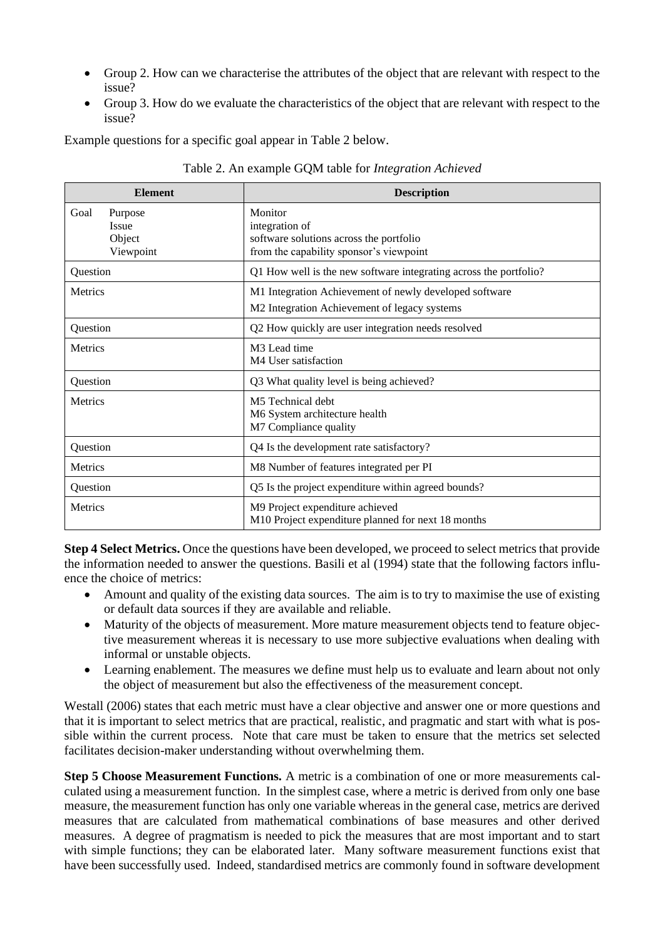- Group 2. How can we characterise the attributes of the object that are relevant with respect to the issue?
- Group 3. How do we evaluate the characteristics of the object that are relevant with respect to the issue?

Example questions for a specific goal appear in [Table 2](#page-9-0) below.

<span id="page-9-0"></span>

| <b>Element</b>                                  | <b>Description</b>                                                                                              |  |
|-------------------------------------------------|-----------------------------------------------------------------------------------------------------------------|--|
| Purpose<br>Goal<br>Issue<br>Object<br>Viewpoint | Monitor<br>integration of<br>software solutions across the portfolio<br>from the capability sponsor's viewpoint |  |
| Question                                        | Q1 How well is the new software integrating across the portfolio?                                               |  |
| <b>Metrics</b>                                  | M1 Integration Achievement of newly developed software<br>M2 Integration Achievement of legacy systems          |  |
| Question                                        | Q2 How quickly are user integration needs resolved                                                              |  |
| <b>Metrics</b>                                  | M <sub>3</sub> Lead time<br>M4 User satisfaction                                                                |  |
| Question                                        | Q3 What quality level is being achieved?                                                                        |  |
| <b>Metrics</b>                                  | M5 Technical debt<br>M6 System architecture health<br>M7 Compliance quality                                     |  |
| Question                                        | Q4 Is the development rate satisfactory?                                                                        |  |
| Metrics                                         | M8 Number of features integrated per PI                                                                         |  |
| Question                                        | Q5 Is the project expenditure within agreed bounds?                                                             |  |
| <b>Metrics</b>                                  | M9 Project expenditure achieved<br>M10 Project expenditure planned for next 18 months                           |  |

Table 2. An example GQM table for *Integration Achieved*

**Step 4 Select Metrics.** Once the questions have been developed, we proceed to select metrics that provide the information needed to answer the questions. Basili et al (1994) state that the following factors influence the choice of metrics:

- Amount and quality of the existing data sources. The aim is to try to maximise the use of existing or default data sources if they are available and reliable.
- Maturity of the objects of measurement. More mature measurement objects tend to feature objective measurement whereas it is necessary to use more subjective evaluations when dealing with informal or unstable objects.
- Learning enablement. The measures we define must help us to evaluate and learn about not only the object of measurement but also the effectiveness of the measurement concept.

Westall (2006) states that each metric must have a clear objective and answer one or more questions and that it is important to select metrics that are practical, realistic, and pragmatic and start with what is possible within the current process. Note that care must be taken to ensure that the metrics set selected facilitates decision-maker understanding without overwhelming them.

**Step 5 Choose Measurement Functions.** A metric is a combination of one or more measurements calculated using a measurement function. In the simplest case, where a metric is derived from only one base measure, the measurement function has only one variable whereas in the general case, metrics are derived measures that are calculated from mathematical combinations of base measures and other derived measures. A degree of pragmatism is needed to pick the measures that are most important and to start with simple functions; they can be elaborated later. Many software measurement functions exist that have been successfully used. Indeed, standardised metrics are commonly found in software development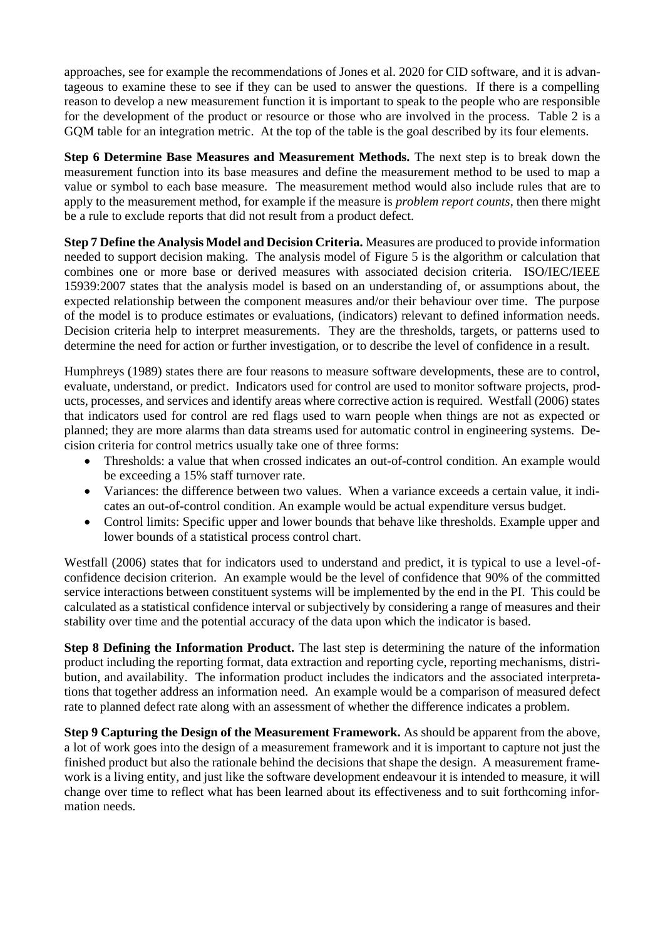approaches, see for example the recommendations of Jones et al. 2020 for CID software, and it is advantageous to examine these to see if they can be used to answer the questions. If there is a compelling reason to develop a new measurement function it is important to speak to the people who are responsible for the development of the product or resource or those who are involved in the process. [Table 2](#page-9-0) is a GQM table for an integration metric. At the top of the table is the goal described by its four elements.

**Step 6 Determine Base Measures and Measurement Methods.** The next step is to break down the measurement function into its base measures and define the measurement method to be used to map a value or symbol to each base measure. The measurement method would also include rules that are to apply to the measurement method, for example if the measure is *problem report counts*, then there might be a rule to exclude reports that did not result from a product defect.

**Step 7 Define the Analysis Model and Decision Criteria.** Measures are produced to provide information needed to support decision making. The analysis model of [Figure 5](#page-4-0) is the algorithm or calculation that combines one or more base or derived measures with associated decision criteria. ISO/IEC/IEEE 15939:2007 states that the analysis model is based on an understanding of, or assumptions about, the expected relationship between the component measures and/or their behaviour over time. The purpose of the model is to produce estimates or evaluations, (indicators) relevant to defined information needs. Decision criteria help to interpret measurements. They are the thresholds, targets, or patterns used to determine the need for action or further investigation, or to describe the level of confidence in a result.

Humphreys (1989) states there are four reasons to measure software developments, these are to control, evaluate, understand, or predict. Indicators used for control are used to monitor software projects, products, processes, and services and identify areas where corrective action is required. Westfall (2006) states that indicators used for control are red flags used to warn people when things are not as expected or planned; they are more alarms than data streams used for automatic control in engineering systems. Decision criteria for control metrics usually take one of three forms:

- Thresholds: a value that when crossed indicates an out-of-control condition. An example would be exceeding a 15% staff turnover rate.
- Variances: the difference between two values. When a variance exceeds a certain value, it indicates an out-of-control condition. An example would be actual expenditure versus budget.
- Control limits: Specific upper and lower bounds that behave like thresholds. Example upper and lower bounds of a statistical process control chart.

Westfall (2006) states that for indicators used to understand and predict, it is typical to use a level-ofconfidence decision criterion. An example would be the level of confidence that 90% of the committed service interactions between constituent systems will be implemented by the end in the PI. This could be calculated as a statistical confidence interval or subjectively by considering a range of measures and their stability over time and the potential accuracy of the data upon which the indicator is based.

**Step 8 Defining the Information Product.** The last step is determining the nature of the information product including the reporting format, data extraction and reporting cycle, reporting mechanisms, distribution, and availability. The information product includes the indicators and the associated interpretations that together address an information need. An example would be a comparison of measured defect rate to planned defect rate along with an assessment of whether the difference indicates a problem.

**Step 9 Capturing the Design of the Measurement Framework.** As should be apparent from the above, a lot of work goes into the design of a measurement framework and it is important to capture not just the finished product but also the rationale behind the decisions that shape the design. A measurement framework is a living entity, and just like the software development endeavour it is intended to measure, it will change over time to reflect what has been learned about its effectiveness and to suit forthcoming information needs.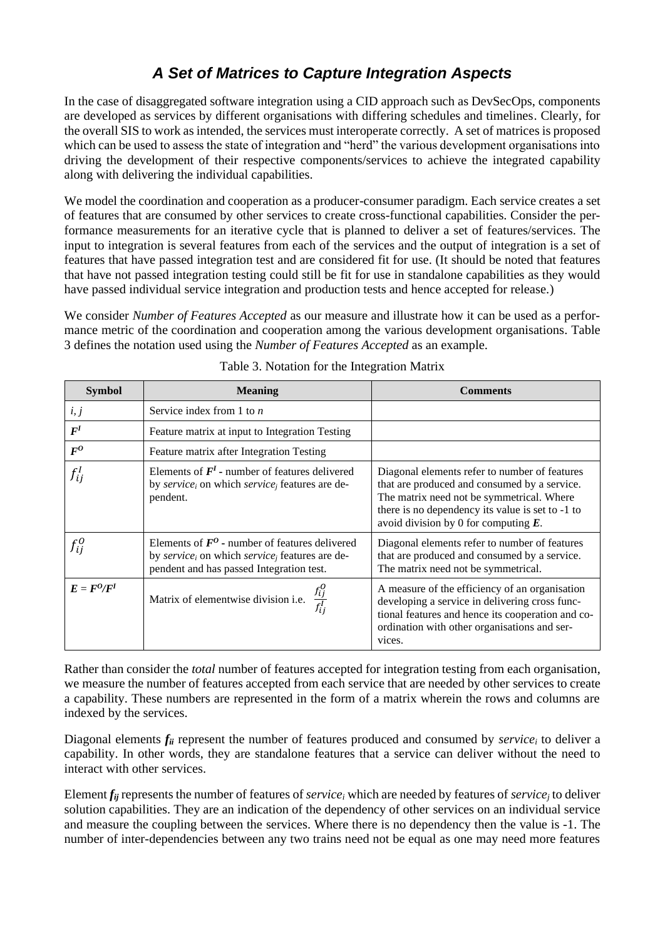## *A Set of Matrices to Capture Integration Aspects*

In the case of disaggregated software integration using a CID approach such as DevSecOps, components are developed as services by different organisations with differing schedules and timelines. Clearly, for the overall SIS to work as intended, the services must interoperate correctly. A set of matrices is proposed which can be used to assess the state of integration and "herd" the various development organisations into driving the development of their respective components/services to achieve the integrated capability along with delivering the individual capabilities.

We model the coordination and cooperation as a producer-consumer paradigm. Each service creates a set of features that are consumed by other services to create cross-functional capabilities. Consider the performance measurements for an iterative cycle that is planned to deliver a set of features/services. The input to integration is several features from each of the services and the output of integration is a set of features that have passed integration test and are considered fit for use. (It should be noted that features that have not passed integration testing could still be fit for use in standalone capabilities as they would have passed individual service integration and production tests and hence accepted for release.)

We consider *Number of Features Accepted* as our measure and illustrate how it can be used as a performance metric of the coordination and cooperation among the various development organisations. [Table](#page-11-0)  [3](#page-11-0) defines the notation used using the *Number of Features Accepted* as an example.

<span id="page-11-0"></span>

| <b>Symbol</b>               | <b>Meaning</b>                                                                                                                                                         | <b>Comments</b>                                                                                                                                                                                                                           |
|-----------------------------|------------------------------------------------------------------------------------------------------------------------------------------------------------------------|-------------------------------------------------------------------------------------------------------------------------------------------------------------------------------------------------------------------------------------------|
| i, j                        | Service index from 1 to $n$                                                                                                                                            |                                                                                                                                                                                                                                           |
| F <sup>I</sup>              | Feature matrix at input to Integration Testing                                                                                                                         |                                                                                                                                                                                                                                           |
| $\bm{F^0}$                  | Feature matrix after Integration Testing                                                                                                                               |                                                                                                                                                                                                                                           |
| $f_{i\hspace{0.025cm} i}^I$ | Elements of $FI$ - number of features delivered<br>by service <sub>i</sub> on which service <sub>i</sub> features are de-<br>pendent.                                  | Diagonal elements refer to number of features<br>that are produced and consumed by a service.<br>The matrix need not be symmetrical. Where<br>there is no dependency its value is set to -1 to<br>avoid division by 0 for computing $E$ . |
| $f_{ij}^O$                  | Elements of $F^0$ - number of features delivered<br>by service <sub>i</sub> on which service <sub>i</sub> features are de-<br>pendent and has passed Integration test. | Diagonal elements refer to number of features<br>that are produced and consumed by a service.<br>The matrix need not be symmetrical.                                                                                                      |
| $E = F^0/F^I$               | Matrix of elementwise division i.e.                                                                                                                                    | A measure of the efficiency of an organisation<br>developing a service in delivering cross func-<br>tional features and hence its cooperation and co-<br>ordination with other organisations and ser-<br>vices.                           |

#### Table 3. Notation for the Integration Matrix

Rather than consider the *total* number of features accepted for integration testing from each organisation, we measure the number of features accepted from each service that are needed by other services to create a capability. These numbers are represented in the form of a matrix wherein the rows and columns are indexed by the services.

Diagonal elements *fii* represent the number of features produced and consumed by *service<sup>i</sup>* to deliver a capability. In other words, they are standalone features that a service can deliver without the need to interact with other services.

Element *fij* represents the number of features of *service<sup>i</sup>* which are needed by features of *service<sup>j</sup>* to deliver solution capabilities. They are an indication of the dependency of other services on an individual service and measure the coupling between the services. Where there is no dependency then the value is -1. The number of inter-dependencies between any two trains need not be equal as one may need more features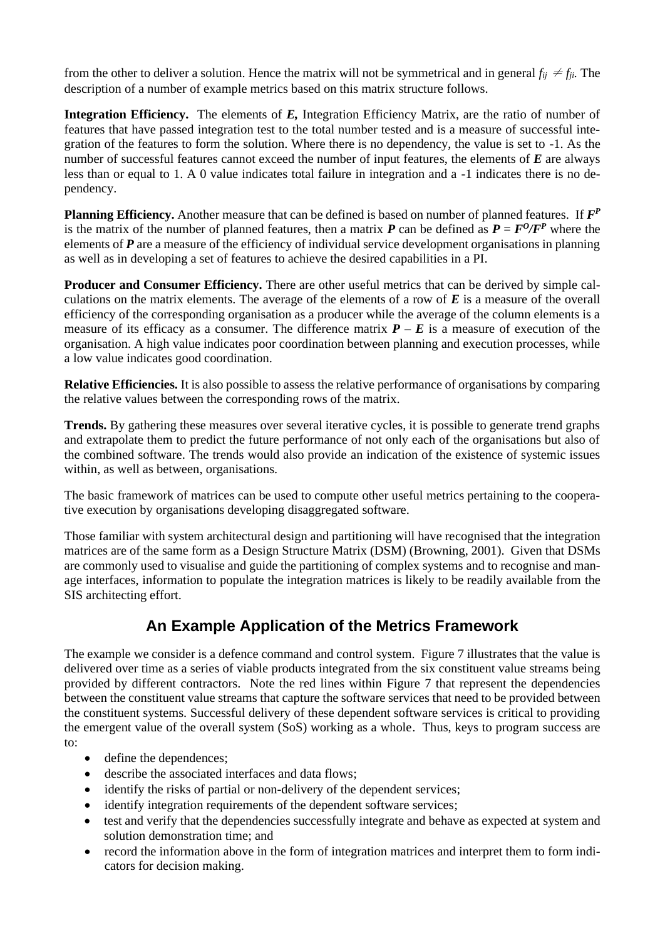from the other to deliver a solution. Hence the matrix will not be symmetrical and in general  $f_{ii} \neq f_{ii}$ . The description of a number of example metrics based on this matrix structure follows.

**Integration Efficiency.** The elements of *E,* Integration Efficiency Matrix, are the ratio of number of features that have passed integration test to the total number tested and is a measure of successful integration of the features to form the solution. Where there is no dependency, the value is set to -1. As the number of successful features cannot exceed the number of input features, the elements of *E* are always less than or equal to 1. A 0 value indicates total failure in integration and a -1 indicates there is no dependency.

**Planning Efficiency.** Another measure that can be defined is based on number of planned features. If *F P* is the matrix of the number of planned features, then a matrix  $P$  can be defined as  $P = F^0/F^P$  where the elements of *P* are a measure of the efficiency of individual service development organisations in planning as well as in developing a set of features to achieve the desired capabilities in a PI.

**Producer and Consumer Efficiency.** There are other useful metrics that can be derived by simple calculations on the matrix elements. The average of the elements of a row of *E* is a measure of the overall efficiency of the corresponding organisation as a producer while the average of the column elements is a measure of its efficacy as a consumer. The difference matrix  $P - E$  is a measure of execution of the organisation. A high value indicates poor coordination between planning and execution processes, while a low value indicates good coordination.

**Relative Efficiencies.** It is also possible to assess the relative performance of organisations by comparing the relative values between the corresponding rows of the matrix.

**Trends.** By gathering these measures over several iterative cycles, it is possible to generate trend graphs and extrapolate them to predict the future performance of not only each of the organisations but also of the combined software. The trends would also provide an indication of the existence of systemic issues within, as well as between, organisations.

The basic framework of matrices can be used to compute other useful metrics pertaining to the cooperative execution by organisations developing disaggregated software.

Those familiar with system architectural design and partitioning will have recognised that the integration matrices are of the same form as a Design Structure Matrix (DSM) (Browning, 2001). Given that DSMs are commonly used to visualise and guide the partitioning of complex systems and to recognise and manage interfaces, information to populate the integration matrices is likely to be readily available from the SIS architecting effort.

### **An Example Application of the Metrics Framework**

The example we consider is a defence command and control system. [Figure 7](#page-13-0) illustrates that the value is delivered over time as a series of viable products integrated from the six constituent value streams being provided by different contractors. Note the red lines within [Figure 7](#page-13-0) that represent the dependencies between the constituent value streams that capture the software services that need to be provided between the constituent systems. Successful delivery of these dependent software services is critical to providing the emergent value of the overall system (SoS) working as a whole. Thus, keys to program success are to:

- define the dependences;
- describe the associated interfaces and data flows;
- identify the risks of partial or non-delivery of the dependent services;
- identify integration requirements of the dependent software services;
- test and verify that the dependencies successfully integrate and behave as expected at system and solution demonstration time; and
- record the information above in the form of integration matrices and interpret them to form indicators for decision making.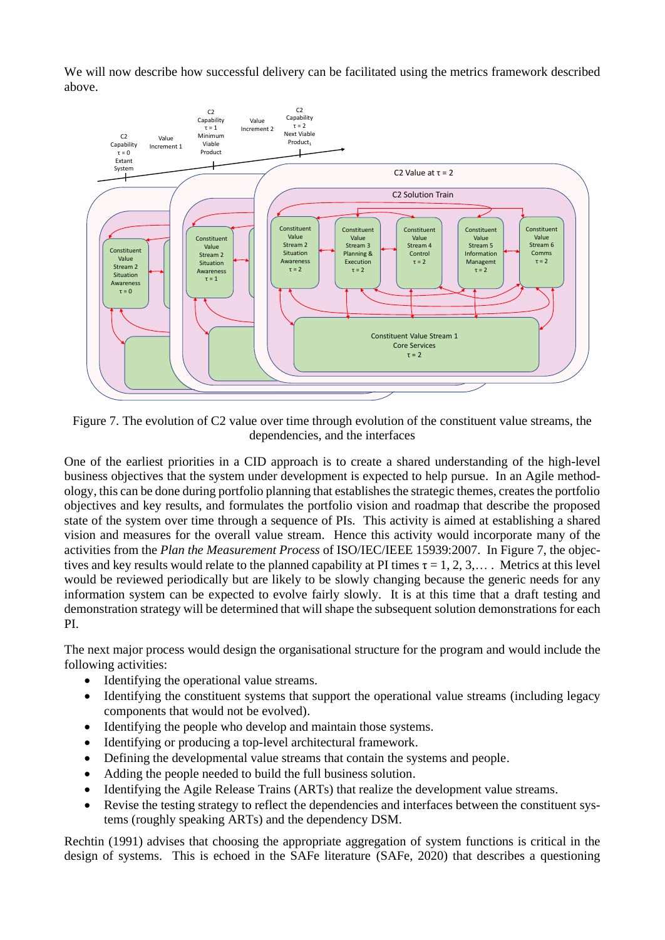We will now describe how successful delivery can be facilitated using the metrics framework described above.



<span id="page-13-0"></span>Figure 7. The evolution of C2 value over time through evolution of the constituent value streams, the dependencies, and the interfaces

One of the earliest priorities in a CID approach is to create a shared understanding of the high-level business objectives that the system under development is expected to help pursue. In an Agile methodology, this can be done during portfolio planning that establishes the strategic themes, creates the portfolio objectives and key results, and formulates the portfolio vision and roadmap that describe the proposed state of the system over time through a sequence of PIs. This activity is aimed at establishing a shared vision and measures for the overall value stream. Hence this activity would incorporate many of the activities from the *Plan the Measurement Process* of ISO/IEC/IEEE 15939:2007. In [Figure 7,](#page-13-0) the objectives and key results would relate to the planned capability at PI times  $\tau = 1, 2, 3,...$  Metrics at this level would be reviewed periodically but are likely to be slowly changing because the generic needs for any information system can be expected to evolve fairly slowly. It is at this time that a draft testing and demonstration strategy will be determined that will shape the subsequent solution demonstrations for each PI.

The next major process would design the organisational structure for the program and would include the following activities:

- Identifying the operational value streams.
- Identifying the constituent systems that support the operational value streams (including legacy components that would not be evolved).
- Identifying the people who develop and maintain those systems.
- Identifying or producing a top-level architectural framework.
- Defining the developmental value streams that contain the systems and people.
- Adding the people needed to build the full business solution.
- Identifying the Agile Release Trains (ARTs) that realize the development value streams.
- Revise the testing strategy to reflect the dependencies and interfaces between the constituent systems (roughly speaking ARTs) and the dependency DSM.

Rechtin (1991) advises that choosing the appropriate aggregation of system functions is critical in the design of systems. This is echoed in the SAFe literature (SAFe, 2020) that describes a questioning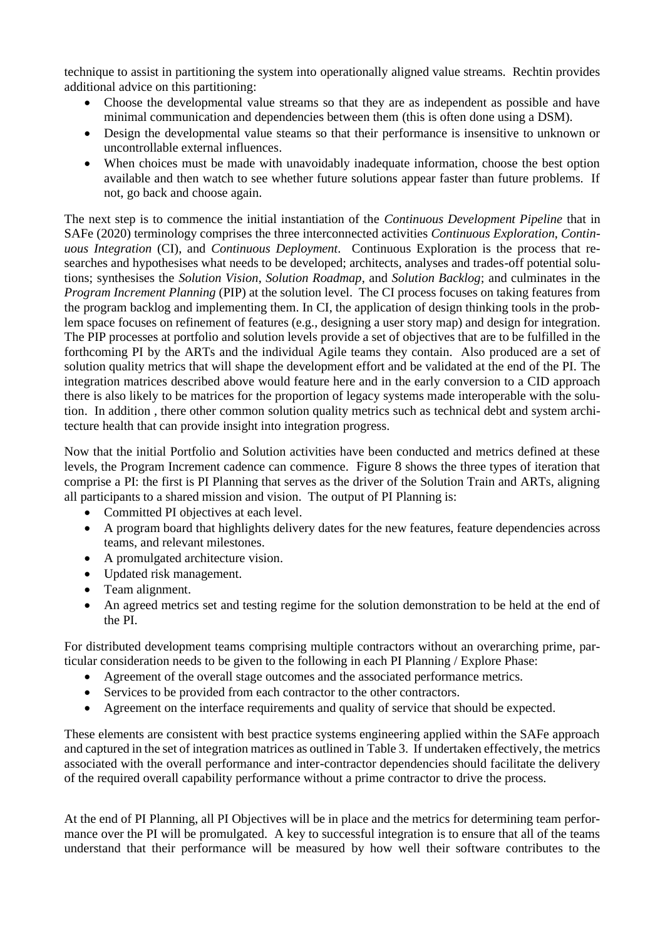technique to assist in partitioning the system into operationally aligned value streams. Rechtin provides additional advice on this partitioning:

- Choose the developmental value streams so that they are as independent as possible and have minimal communication and dependencies between them (this is often done using a DSM).
- Design the developmental value steams so that their performance is insensitive to unknown or uncontrollable external influences.
- When choices must be made with unavoidably inadequate information, choose the best option available and then watch to see whether future solutions appear faster than future problems. If not, go back and choose again.

The next step is to commence the initial instantiation of the *Continuous Development Pipeline* that in SAFe (2020) terminology comprises the three interconnected activities *Continuous Exploration*, *Continuous Integration* (CI), and *Continuous Deployment*. Continuous Exploration is the process that researches and hypothesises what needs to be developed; architects, analyses and trades-off potential solutions; synthesises the *Solution Vision*, *Solution Roadmap*, and *Solution Backlog*; and culminates in the *Program Increment Planning* (PIP) at the solution level. The CI process focuses on taking features from the program backlog and implementing them. In CI, the application of design thinking tools in the problem space focuses on refinement of features (e.g., designing a user story map) and design for integration. The PIP processes at portfolio and solution levels provide a set of objectives that are to be fulfilled in the forthcoming PI by the ARTs and the individual Agile teams they contain. Also produced are a set of solution quality metrics that will shape the development effort and be validated at the end of the PI. The integration matrices described above would feature here and in the early conversion to a CID approach there is also likely to be matrices for the proportion of legacy systems made interoperable with the solution. In addition , there other common solution quality metrics such as technical debt and system architecture health that can provide insight into integration progress.

Now that the initial Portfolio and Solution activities have been conducted and metrics defined at these levels, the Program Increment cadence can commence. [Figure 8](#page-15-0) shows the three types of iteration that comprise a PI: the first is PI Planning that serves as the driver of the Solution Train and ARTs, aligning all participants to a shared mission and vision. The output of PI Planning is:

- Committed PI objectives at each level.
- A program board that highlights delivery dates for the new features, feature dependencies across teams, and relevant milestones.
- A promulgated architecture vision.
- Updated risk management.
- Team alignment.
- An agreed metrics set and testing regime for the solution demonstration to be held at the end of the PI.

For distributed development teams comprising multiple contractors without an overarching prime, particular consideration needs to be given to the following in each PI Planning / Explore Phase:

- Agreement of the overall stage outcomes and the associated performance metrics.
- Services to be provided from each contractor to the other contractors.
- Agreement on the interface requirements and quality of service that should be expected.

These elements are consistent with best practice systems engineering applied within the SAFe approach and captured in the set of integration matrices as outlined i[n Table 3.](#page-11-0) If undertaken effectively, the metrics associated with the overall performance and inter-contractor dependencies should facilitate the delivery of the required overall capability performance without a prime contractor to drive the process.

At the end of PI Planning, all PI Objectives will be in place and the metrics for determining team performance over the PI will be promulgated. A key to successful integration is to ensure that all of the teams understand that their performance will be measured by how well their software contributes to the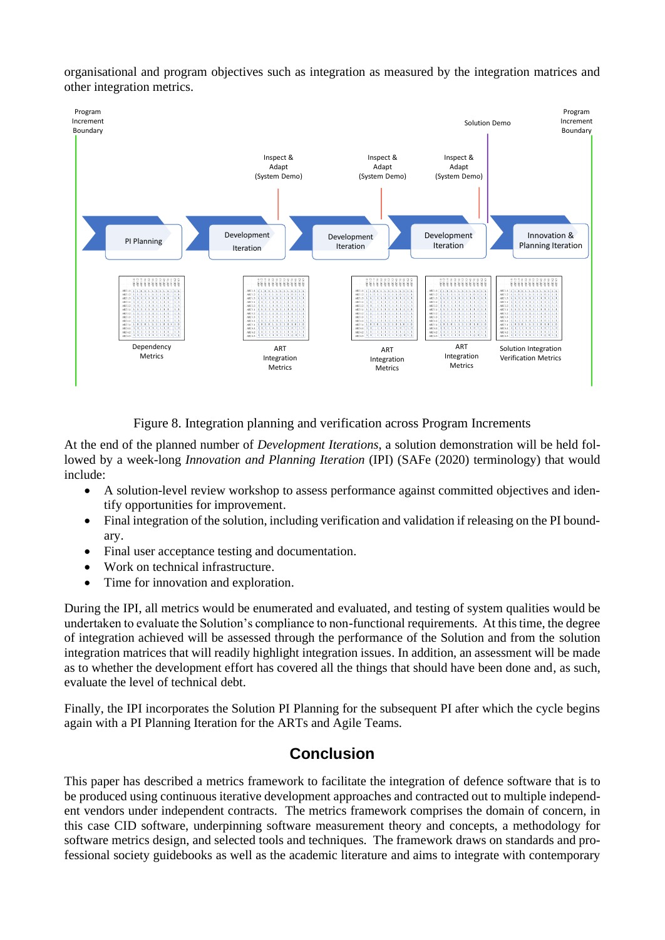organisational and program objectives such as integration as measured by the integration matrices and other integration metrics.



Figure 8. Integration planning and verification across Program Increments

<span id="page-15-0"></span>At the end of the planned number of *Development Iterations*, a solution demonstration will be held followed by a week-long *Innovation and Planning Iteration* (IPI) (SAFe (2020) terminology) that would include:

- A solution-level review workshop to assess performance against committed objectives and identify opportunities for improvement.
- Final integration of the solution, including verification and validation if releasing on the PI boundary.
- Final user acceptance testing and documentation.
- Work on technical infrastructure.
- Time for innovation and exploration.

During the IPI, all metrics would be enumerated and evaluated, and testing of system qualities would be undertaken to evaluate the Solution's compliance to non-functional requirements. At this time, the degree of integration achieved will be assessed through the performance of the Solution and from the solution integration matrices that will readily highlight integration issues. In addition, an assessment will be made as to whether the development effort has covered all the things that should have been done and, as such, evaluate the level of technical debt.

Finally, the IPI incorporates the Solution PI Planning for the subsequent PI after which the cycle begins again with a PI Planning Iteration for the ARTs and Agile Teams.

#### **Conclusion**

This paper has described a metrics framework to facilitate the integration of defence software that is to be produced using continuous iterative development approaches and contracted out to multiple independent vendors under independent contracts. The metrics framework comprises the domain of concern, in this case CID software, underpinning software measurement theory and concepts, a methodology for software metrics design, and selected tools and techniques. The framework draws on standards and professional society guidebooks as well as the academic literature and aims to integrate with contemporary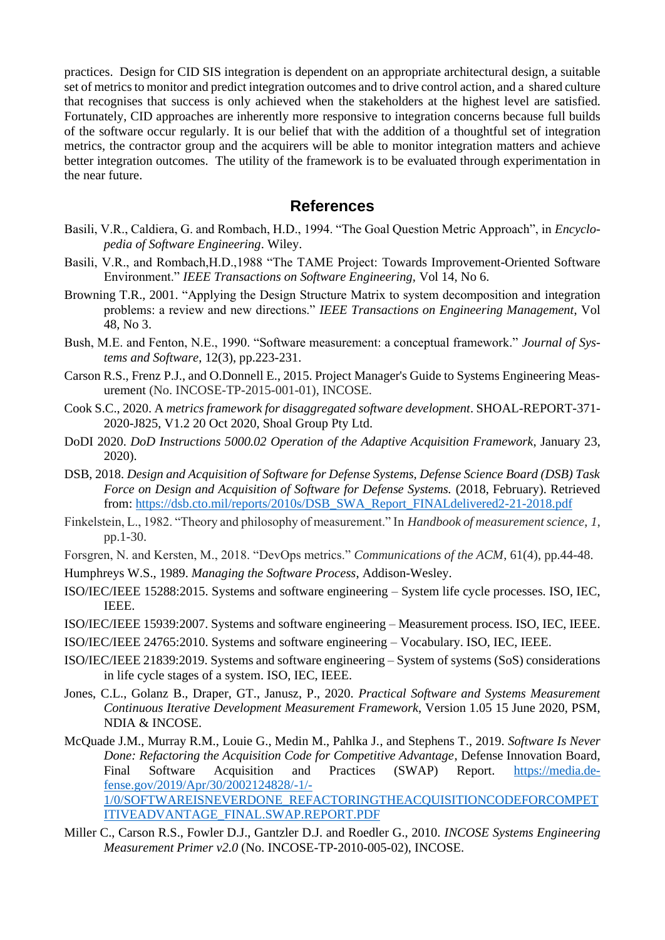practices. Design for CID SIS integration is dependent on an appropriate architectural design, a suitable set of metrics to monitor and predict integration outcomes and to drive control action, and a shared culture that recognises that success is only achieved when the stakeholders at the highest level are satisfied. Fortunately, CID approaches are inherently more responsive to integration concerns because full builds of the software occur regularly. It is our belief that with the addition of a thoughtful set of integration metrics, the contractor group and the acquirers will be able to monitor integration matters and achieve better integration outcomes. The utility of the framework is to be evaluated through experimentation in the near future.

#### **References**

- Basili, V.R., Caldiera, G. and Rombach, H.D., 1994. "The Goal Question Metric Approach", in *Encyclopedia of Software Engineering*. Wiley.
- Basili, V.R., and Rombach,H.D.,1988 "The TAME Project: Towards Improvement-Oriented Software Environment." *IEEE Transactions on Software Engineering,* Vol 14, No 6.
- Browning T.R., 2001. "Applying the Design Structure Matrix to system decomposition and integration problems: a review and new directions." *IEEE Transactions on Engineering Management*, Vol 48, No 3.
- Bush, M.E. and Fenton, N.E., 1990. "Software measurement: a conceptual framework." *Journal of Systems and Software*, 12(3), pp.223-231.
- Carson R.S., Frenz P.J., and O.Donnell E., 2015. Project Manager's Guide to Systems Engineering Measurement (No. INCOSE-TP-2015-001-01), INCOSE.
- Cook S.C., 2020. A *metrics framework for disaggregated software development*. SHOAL-REPORT-371- 2020-J825, V1.2 20 Oct 2020, Shoal Group Pty Ltd.
- DoDI 2020. *DoD Instructions 5000.02 Operation of the Adaptive Acquisition Framework*, January 23, 2020).
- DSB, 2018. *Design and Acquisition of Software for Defense Systems, Defense Science Board (DSB) Task Force on Design and Acquisition of Software for Defense Systems.* (2018, February). Retrieved from: [https://dsb.cto.mil/reports/2010s/DSB\\_SWA\\_Report\\_FINALdelivered2-21-2018.pdf](https://dsb.cto.mil/reports/2010s/DSB_SWA_Report_FINALdelivered2-21-2018.pdf)
- Finkelstein, L., 1982. "Theory and philosophy of measurement." In *Handbook of measurement science*, *1*, pp.1-30.
- Forsgren, N. and Kersten, M., 2018. "DevOps metrics." *Communications of the ACM*, 61(4), pp.44-48.
- Humphreys W.S., 1989. *Managing the Software Process*, Addison-Wesley.
- ISO/IEC/IEEE 15288:2015. Systems and software engineering System life cycle processes. ISO, IEC, IEEE.
- ISO/IEC/IEEE 15939:2007. Systems and software engineering Measurement process. ISO, IEC, IEEE.
- ISO/IEC/IEEE 24765:2010. Systems and software engineering Vocabulary. ISO, IEC, IEEE.
- ISO/IEC/IEEE 21839:2019. Systems and software engineering System of systems (SoS) considerations in life cycle stages of a system. ISO, IEC, IEEE.
- Jones, C.L., Golanz B., Draper, GT., Janusz, P., 2020. *Practical Software and Systems Measurement Continuous Iterative Development Measurement Framework*, Version 1.05 15 June 2020, PSM, NDIA & INCOSE.
- McQuade J.M., Murray R.M., Louie G., Medin M., Pahlka J., and Stephens T., 2019. *Software Is Never Done: Refactoring the Acquisition Code for Competitive Advantage*, Defense Innovation Board, Final Software Acquisition and Practices (SWAP) Report. [https://media.de](https://media.defense.gov/2019/Apr/30/2002124828/-1/-1/0/SOFTWAREISNEVERDONE_REFACTORINGTHEACQUISITIONCODEFORCOMPETITIVEADVANTAGE_FINAL.SWAP.REPORT.PDF)[fense.gov/2019/Apr/30/2002124828/-1/-](https://media.defense.gov/2019/Apr/30/2002124828/-1/-1/0/SOFTWAREISNEVERDONE_REFACTORINGTHEACQUISITIONCODEFORCOMPETITIVEADVANTAGE_FINAL.SWAP.REPORT.PDF) [1/0/SOFTWAREISNEVERDONE\\_REFACTORINGTHEACQUISITIONCODEFORCOMPET](https://media.defense.gov/2019/Apr/30/2002124828/-1/-1/0/SOFTWAREISNEVERDONE_REFACTORINGTHEACQUISITIONCODEFORCOMPETITIVEADVANTAGE_FINAL.SWAP.REPORT.PDF) [ITIVEADVANTAGE\\_FINAL.SWAP.REPORT.PDF](https://media.defense.gov/2019/Apr/30/2002124828/-1/-1/0/SOFTWAREISNEVERDONE_REFACTORINGTHEACQUISITIONCODEFORCOMPETITIVEADVANTAGE_FINAL.SWAP.REPORT.PDF)
- Miller C., Carson R.S., Fowler D.J., Gantzler D.J. and Roedler G., 2010. *INCOSE Systems Engineering Measurement Primer v2.0* (No. INCOSE-TP-2010-005-02), INCOSE.